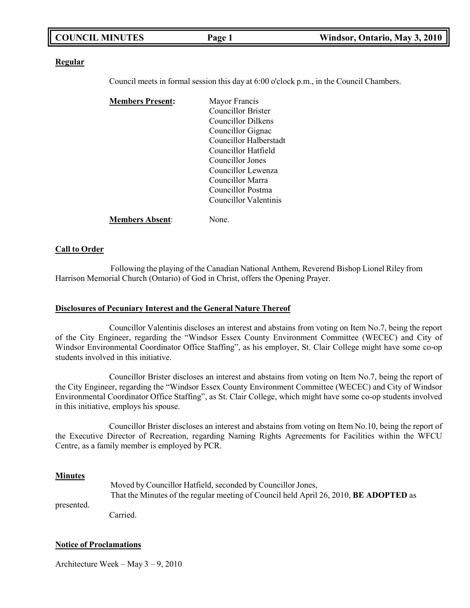| <b>COUNCIL MINUTES</b> |        |                               |
|------------------------|--------|-------------------------------|
|                        | Page 1 | Windsor, Ontario, May 3, 2010 |

#### **Regular**

Council meets in formal session this day at 6:00 o'clock p.m., in the Council Chambers.

| <b>Members Present:</b> | Mayor Francis                 |  |
|-------------------------|-------------------------------|--|
|                         | Councillor Brister            |  |
|                         | Councillor Dilkens            |  |
|                         | Councillor Gignac             |  |
|                         | <b>Councillor Halberstadt</b> |  |
|                         | Councillor Hatfield           |  |
|                         | Councillor Jones              |  |
|                         | Councillor Lewenza            |  |
|                         | Councillor Marra              |  |
|                         | Councillor Postma             |  |
|                         | Councillor Valentinis         |  |
| <b>Members Absent:</b>  | None.                         |  |

#### **Call to Order**

Following the playing of the Canadian National Anthem, Reverend Bishop Lionel Riley from Harrison Memorial Church (Ontario) of God in Christ, offers the Opening Prayer.

#### **Disclosures of Pecuniary Interest and the General Nature Thereof**

Councillor Valentinis discloses an interest and abstains from voting on Item No.7, being the report of the City Engineer, regarding the "Windsor Essex County Environment Committee (WECEC) and City of Windsor Environmental Coordinator Office Staffing", as his employer, St. Clair College might have some co-op students involved in this initiative.

Councillor Brister discloses an interest and abstains from voting on Item No.7, being the report of the City Engineer, regarding the "Windsor Essex County Environment Committee (WECEC) and City of Windsor Environmental Coordinator Office Staffing", as St. Clair College, which might have some co-op students involved in this initiative, employs his spouse.

Councillor Brister discloses an interest and abstains from voting on Item No.10, being the report of the Executive Director of Recreation, regarding Naming Rights Agreements for Facilities within the WFCU Centre, as a family member is employed by PCR.

#### **Minutes**

|            | Moved by Councillor Hatfield, seconded by Councillor Jones,                                  |  |
|------------|----------------------------------------------------------------------------------------------|--|
|            | That the Minutes of the regular meeting of Council held April 26, 2010, <b>BE ADOPTED</b> as |  |
| presented. |                                                                                              |  |

Carried.

#### **Notice of Proclamations**

Architecture Week – May 3 – 9, 2010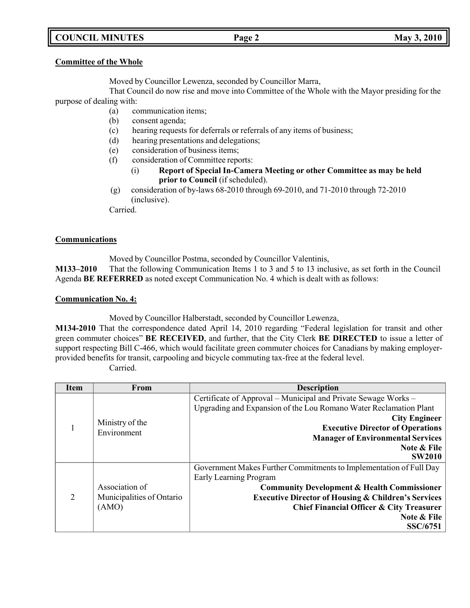# **COUNCIL MINUTES Page 2 May 3, 2010**

#### **Committee of the Whole**

Moved by Councillor Lewenza, seconded by Councillor Marra,

That Council do now rise and move into Committee of the Whole with the Mayor presiding for the purpose of dealing with:

- (a) communication items;
- (b) consent agenda;
- (c) hearing requests for deferrals or referrals of any items of business;
- (d) hearing presentations and delegations;
- (e) consideration of business items;
- (f) consideration of Committee reports:
	- (i) **Report of Special In-Camera Meeting or other Committee as may be held prior to Council** (if scheduled).
- (g) consideration of by-laws 68-2010 through 69-2010, and 71-2010 through 72-2010 (inclusive).

Carried.

#### **Communications**

Moved by Councillor Postma, seconded by Councillor Valentinis,

**M133–2010** That the following Communication Items 1 to 3 and 5 to 13 inclusive, as set forth in the Council Agenda **BE REFERRED** as noted except Communication No. 4 which is dealt with as follows:

## **Communication No. 4:**

Moved by Councillor Halberstadt, seconded by Councillor Lewenza,

**M134-2010** That the correspondence dated April 14, 2010 regarding "Federal legislation for transit and other green commuter choices" **BE RECEIVED**, and further, that the City Clerk **BE DIRECTED** to issue a letter of support respecting Bill C-466, which would facilitate green commuter choices for Canadians by making employerprovided benefits for transit, carpooling and bicycle commuting tax-free at the federal level.

Carried.

| <b>Item</b> | <b>From</b>                                          | <b>Description</b>                                                                                                                                                                                                                                                |
|-------------|------------------------------------------------------|-------------------------------------------------------------------------------------------------------------------------------------------------------------------------------------------------------------------------------------------------------------------|
|             | Ministry of the<br>Environment                       | Certificate of Approval – Municipal and Private Sewage Works –<br>Upgrading and Expansion of the Lou Romano Water Reclamation Plant<br><b>City Engineer</b><br><b>Executive Director of Operations</b><br><b>Manager of Environmental Services</b><br>Note & File |
|             |                                                      | <b>SW2010</b>                                                                                                                                                                                                                                                     |
|             |                                                      | Government Makes Further Commitments to Implementation of Full Day<br>Early Learning Program                                                                                                                                                                      |
| 2           | Association of<br>Municipalities of Ontario<br>(AMO) | <b>Community Development &amp; Health Commissioner</b>                                                                                                                                                                                                            |
|             |                                                      | <b>Executive Director of Housing &amp; Children's Services</b>                                                                                                                                                                                                    |
|             |                                                      | Chief Financial Officer & City Treasurer                                                                                                                                                                                                                          |
|             |                                                      | Note & File                                                                                                                                                                                                                                                       |
|             |                                                      | <b>SSC/6751</b>                                                                                                                                                                                                                                                   |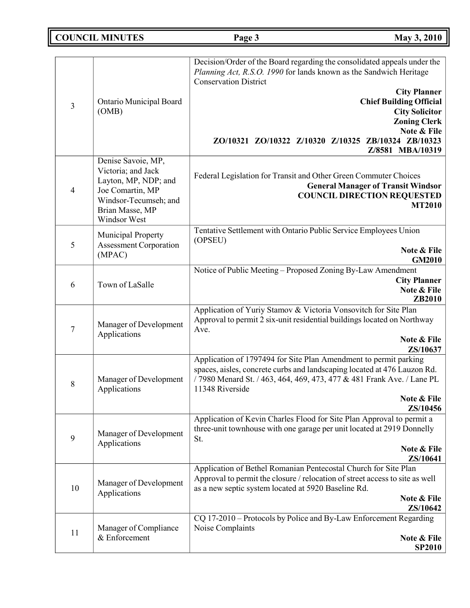**COUNCIL MINUTES Page 3 May 3, 2010**

|                  |                         | Decision/Order of the Board regarding the consolidated appeals under the<br>Planning Act, R.S.O. 1990 for lands known as the Sandwich Heritage<br><b>Conservation District</b> |
|------------------|-------------------------|--------------------------------------------------------------------------------------------------------------------------------------------------------------------------------|
|                  |                         | <b>City Planner</b>                                                                                                                                                            |
|                  | Ontario Municipal Board | <b>Chief Building Official</b>                                                                                                                                                 |
| 3                | (OMB)                   | <b>City Solicitor</b>                                                                                                                                                          |
|                  |                         |                                                                                                                                                                                |
|                  |                         | <b>Zoning Clerk</b>                                                                                                                                                            |
|                  |                         | Note & File                                                                                                                                                                    |
|                  |                         | ZO/10321 ZO/10322 Z/10320 Z/10325 ZB/10324 ZB/10323                                                                                                                            |
|                  |                         | Z/8581 MBA/10319                                                                                                                                                               |
|                  | Denise Savoie, MP,      |                                                                                                                                                                                |
|                  | Victoria; and Jack      |                                                                                                                                                                                |
|                  | Layton, MP, NDP; and    | Federal Legislation for Transit and Other Green Commuter Choices                                                                                                               |
| $\overline{4}$   | Joe Comartin, MP        | <b>General Manager of Transit Windsor</b>                                                                                                                                      |
|                  |                         | <b>COUNCIL DIRECTION REQUESTED</b>                                                                                                                                             |
|                  | Windsor-Tecumseh; and   | <b>MT2010</b>                                                                                                                                                                  |
|                  | Brian Masse, MP         |                                                                                                                                                                                |
|                  | Windsor West            |                                                                                                                                                                                |
|                  | Municipal Property      | Tentative Settlement with Ontario Public Service Employees Union                                                                                                               |
| 5                | Assessment Corporation  | (OPSEU)                                                                                                                                                                        |
|                  | (MPAC)                  | Note & File                                                                                                                                                                    |
|                  |                         | <b>GM2010</b>                                                                                                                                                                  |
|                  |                         | Notice of Public Meeting – Proposed Zoning By-Law Amendment                                                                                                                    |
| 6                | Town of LaSalle         | <b>City Planner</b>                                                                                                                                                            |
|                  |                         | Note & File                                                                                                                                                                    |
|                  |                         | ZB2010                                                                                                                                                                         |
|                  |                         | Application of Yuriy Stamov & Victoria Vonsovitch for Site Plan                                                                                                                |
|                  |                         | Approval to permit 2 six-unit residential buildings located on Northway                                                                                                        |
| $\overline{7}$   | Manager of Development  | Ave.                                                                                                                                                                           |
|                  | Applications            | Note & File                                                                                                                                                                    |
|                  |                         | ZS/10637                                                                                                                                                                       |
|                  |                         | Application of 1797494 for Site Plan Amendment to permit parking                                                                                                               |
|                  |                         | spaces, aisles, concrete curbs and landscaping located at 476 Lauzon Rd.                                                                                                       |
|                  | Manager of Development  | /7980 Menard St. / 463, 464, 469, 473, 477 & 481 Frank Ave. / Lane PL                                                                                                          |
| 8                | Applications            | 11348 Riverside                                                                                                                                                                |
|                  |                         | Note & File                                                                                                                                                                    |
|                  |                         | ZS/10456                                                                                                                                                                       |
|                  |                         | Application of Kevin Charles Flood for Site Plan Approval to permit a                                                                                                          |
|                  |                         |                                                                                                                                                                                |
|                  | Manager of Development  | three-unit townhouse with one garage per unit located at 2919 Donnelly                                                                                                         |
| $\boldsymbol{9}$ | Applications            | St.                                                                                                                                                                            |
|                  |                         | Note & File                                                                                                                                                                    |
|                  |                         | ZS/10641                                                                                                                                                                       |
|                  |                         | Application of Bethel Romanian Pentecostal Church for Site Plan                                                                                                                |
|                  | Manager of Development  | Approval to permit the closure / relocation of street access to site as well                                                                                                   |
| 10               | Applications            | as a new septic system located at 5920 Baseline Rd.                                                                                                                            |
|                  |                         | Note & File                                                                                                                                                                    |
|                  |                         | ZS/10642                                                                                                                                                                       |
|                  |                         | CQ 17-2010 – Protocols by Police and By-Law Enforcement Regarding                                                                                                              |
|                  | Manager of Compliance   | Noise Complaints                                                                                                                                                               |
| 11               | & Enforcement           | Note & File                                                                                                                                                                    |
|                  |                         | <b>SP2010</b>                                                                                                                                                                  |
|                  |                         |                                                                                                                                                                                |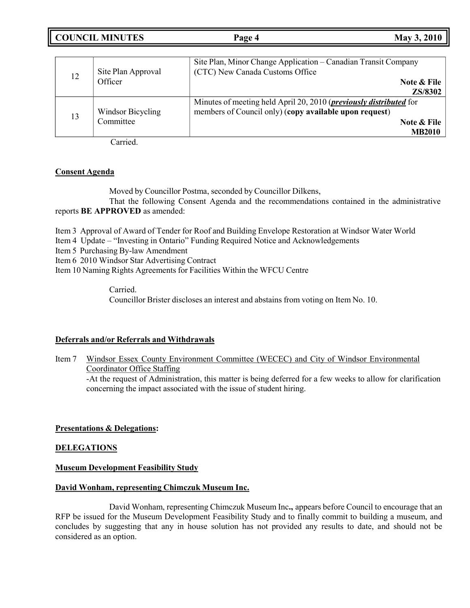**COUNCIL MINUTES Page 4 May 3, 2010**

|    | Site Plan Approval | Site Plan, Minor Change Application - Canadian Transit Company<br>(CTC) New Canada Customs Office |
|----|--------------------|---------------------------------------------------------------------------------------------------|
| 12 | Officer            | Note & File                                                                                       |
|    |                    | <b>ZS/8302</b>                                                                                    |
|    |                    | Minutes of meeting held April 20, 2010 ( <i>previously distributed</i> for                        |
| 13 | Windsor Bicycling  | members of Council only) (copy available upon request)                                            |
|    | Committee          | Note & File                                                                                       |
|    |                    | <b>MB2010</b>                                                                                     |

Carried.

# **Consent Agenda**

Moved by Councillor Postma, seconded by Councillor Dilkens, That the following Consent Agenda and the recommendations contained in the administrative

reports **BE APPROVED** as amended:

Item 3 Approval of Award of Tender for Roof and Building Envelope Restoration at Windsor Water World

Item 4 Update – "Investing in Ontario" Funding Required Notice and Acknowledgements

Item 5 Purchasing By-law Amendment

Item 6 2010 Windsor Star Advertising Contract

Item 10 Naming Rights Agreements for Facilities Within the WFCU Centre

Carried. Councillor Brister discloses an interest and abstains from voting on Item No. 10.

## **Deferrals and/or Referrals and Withdrawals**

Item 7 Windsor Essex County Environment Committee (WECEC) and City of Windsor Environmental Coordinator Office Staffing -At the request of Administration, this matter is being deferred for a few weeks to allow for clarification concerning the impact associated with the issue of student hiring.

# **Presentations & Delegations:**

## **DELEGATIONS**

## **Museum Development Feasibility Study**

## **David Wonham, representing Chimczuk Museum Inc.**

David Wonham, representing Chimczuk Museum Inc**.,** appears before Council to encourage that an RFP be issued for the Museum Development Feasibility Study and to finally commit to building a museum, and concludes by suggesting that any in house solution has not provided any results to date, and should not be considered as an option.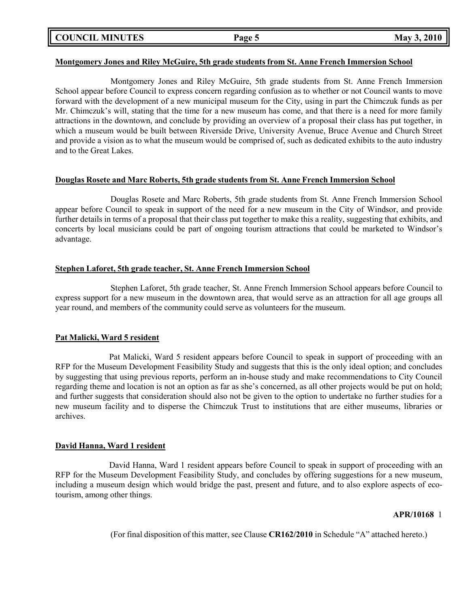**COUNCIL MINUTES Page 5 May 3, 2010**

#### **Montgomery Jones and Riley McGuire, 5th grade students from St. Anne French Immersion School**

Montgomery Jones and Riley McGuire, 5th grade students from St. Anne French Immersion School appear before Council to express concern regarding confusion as to whether or not Council wants to move forward with the development of a new municipal museum for the City, using in part the Chimczuk funds as per Mr. Chimczuk's will, stating that the time for a new museum has come, and that there is a need for more family attractions in the downtown, and conclude by providing an overview of a proposal their class has put together, in which a museum would be built between Riverside Drive, University Avenue, Bruce Avenue and Church Street and provide a vision as to what the museum would be comprised of, such as dedicated exhibits to the auto industry and to the Great Lakes.

## **Douglas Rosete and Marc Roberts, 5th grade students from St. Anne French Immersion School**

Douglas Rosete and Marc Roberts, 5th grade students from St. Anne French Immersion School appear before Council to speak in support of the need for a new museum in the City of Windsor, and provide further details in terms of a proposal that their class put together to make this a reality, suggesting that exhibits, and concerts by local musicians could be part of ongoing tourism attractions that could be marketed to Windsor's advantage.

# **Stephen Laforet, 5th grade teacher, St. Anne French Immersion School**

Stephen Laforet, 5th grade teacher, St. Anne French Immersion School appears before Council to express support for a new museum in the downtown area, that would serve as an attraction for all age groups all year round, and members of the community could serve as volunteers for the museum.

# **Pat Malicki, Ward 5 resident**

Pat Malicki, Ward 5 resident appears before Council to speak in support of proceeding with an RFP for the Museum Development Feasibility Study and suggests that this is the only ideal option; and concludes by suggesting that using previous reports, perform an in-house study and make recommendations to City Council regarding theme and location is not an option as far as she's concerned, as all other projects would be put on hold; and further suggests that consideration should also not be given to the option to undertake no further studies for a new museum facility and to disperse the Chimczuk Trust to institutions that are either museums, libraries or archives.

# **David Hanna, Ward 1 resident**

David Hanna, Ward 1 resident appears before Council to speak in support of proceeding with an RFP for the Museum Development Feasibility Study, and concludes by offering suggestions for a new museum, including a museum design which would bridge the past, present and future, and to also explore aspects of ecotourism, among other things.

## **APR/10168** 1

(For final disposition of this matter, see Clause **CR162/2010** in Schedule "A" attached hereto.)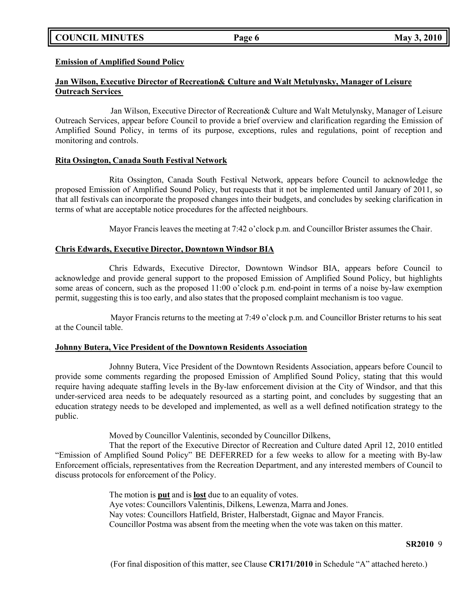# **COUNCIL MINUTES Page 6 May 3, 2010**

**Emission of Amplified Sound Policy**

# **Jan Wilson, Executive Director of Recreation& Culture and Walt Metulynsky, Manager of Leisure Outreach Services**

Jan Wilson, Executive Director of Recreation& Culture and Walt Metulynsky, Manager of Leisure Outreach Services, appear before Council to provide a brief overview and clarification regarding the Emission of Amplified Sound Policy, in terms of its purpose, exceptions, rules and regulations, point of reception and monitoring and controls.

## **Rita Ossington, Canada South Festival Network**

Rita Ossington, Canada South Festival Network, appears before Council to acknowledge the proposed Emission of Amplified Sound Policy, but requests that it not be implemented until January of 2011, so that all festivals can incorporate the proposed changes into their budgets, and concludes by seeking clarification in terms of what are acceptable notice procedures for the affected neighbours.

Mayor Francis leaves the meeting at 7:42 o'clock p.m. and Councillor Brister assumes the Chair.

## **Chris Edwards, Executive Director, Downtown Windsor BIA**

Chris Edwards, Executive Director, Downtown Windsor BIA, appears before Council to acknowledge and provide general support to the proposed Emission of Amplified Sound Policy, but highlights some areas of concern, such as the proposed 11:00 o'clock p.m. end-point in terms of a noise by-law exemption permit, suggesting this is too early, and also states that the proposed complaint mechanism is too vague.

Mayor Francis returns to the meeting at 7:49 o'clock p.m. and Councillor Brister returns to his seat at the Council table.

## **Johnny Butera, Vice President of the Downtown Residents Association**

Johnny Butera, Vice President of the Downtown Residents Association, appears before Council to provide some comments regarding the proposed Emission of Amplified Sound Policy, stating that this would require having adequate staffing levels in the By-law enforcement division at the City of Windsor, and that this under-serviced area needs to be adequately resourced as a starting point, and concludes by suggesting that an education strategy needs to be developed and implemented, as well as a well defined notification strategy to the public.

Moved by Councillor Valentinis, seconded by Councillor Dilkens,

That the report of the Executive Director of Recreation and Culture dated April 12, 2010 entitled "Emission of Amplified Sound Policy" BE DEFERRED for a few weeks to allow for a meeting with By-law Enforcement officials, representatives from the Recreation Department, and any interested members of Council to discuss protocols for enforcement of the Policy.

> The motion is **put** and is **lost** due to an equality of votes. Aye votes: Councillors Valentinis, Dilkens, Lewenza, Marra and Jones. Nay votes: Councillors Hatfield, Brister, Halberstadt, Gignac and Mayor Francis. Councillor Postma was absent from the meeting when the vote was taken on this matter.

#### **SR2010** 9

(For final disposition of this matter, see Clause **CR171/2010** in Schedule "A" attached hereto.)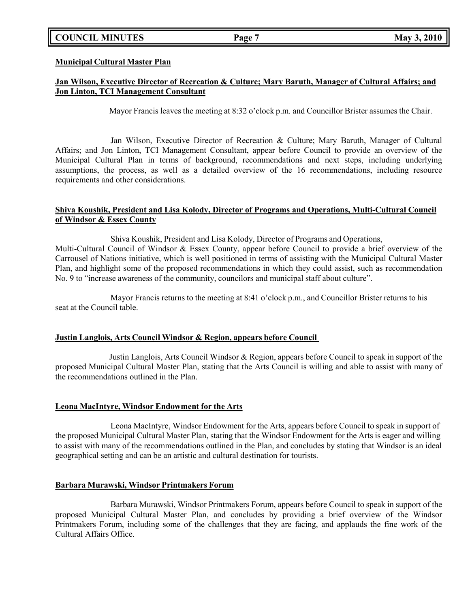# **COUNCIL MINUTES Page 7 May 3, 2010**

#### **Municipal Cultural Master Plan**

# **Jan Wilson, Executive Director of Recreation & Culture; Mary Baruth, Manager of Cultural Affairs; and Jon Linton, TCI Management Consultant**

Mayor Francis leaves the meeting at 8:32 o'clock p.m. and Councillor Brister assumes the Chair.

Jan Wilson, Executive Director of Recreation & Culture; Mary Baruth, Manager of Cultural Affairs; and Jon Linton, TCI Management Consultant, appear before Council to provide an overview of the Municipal Cultural Plan in terms of background, recommendations and next steps, including underlying assumptions, the process, as well as a detailed overview of the 16 recommendations, including resource requirements and other considerations.

## **Shiva Koushik, President and Lisa Kolody, Director of Programs and Operations, Multi-Cultural Council of Windsor & Essex County**

Shiva Koushik, President and Lisa Kolody, Director of Programs and Operations, Multi-Cultural Council of Windsor & Essex County, appear before Council to provide a brief overview of the Carrousel of Nations initiative, which is well positioned in terms of assisting with the Municipal Cultural Master Plan, and highlight some of the proposed recommendations in which they could assist, such as recommendation No. 9 to "increase awareness of the community, councilors and municipal staff about culture".

Mayor Francis returns to the meeting at 8:41 o'clock p.m., and Councillor Brister returns to his seat at the Council table.

## **Justin Langlois, Arts Council Windsor & Region, appears before Council**

Justin Langlois, Arts Council Windsor & Region, appears before Council to speak in support of the proposed Municipal Cultural Master Plan, stating that the Arts Council is willing and able to assist with many of the recommendations outlined in the Plan.

#### **Leona MacIntyre, Windsor Endowment for the Arts**

Leona MacIntyre, Windsor Endowment for the Arts, appears before Council to speak in support of the proposed Municipal Cultural Master Plan, stating that the Windsor Endowment for the Arts is eager and willing to assist with many of the recommendations outlined in the Plan, and concludes by stating that Windsor is an ideal geographical setting and can be an artistic and cultural destination for tourists.

#### **Barbara Murawski, Windsor Printmakers Forum**

Barbara Murawski, Windsor Printmakers Forum, appears before Council to speak in support of the proposed Municipal Cultural Master Plan, and concludes by providing a brief overview of the Windsor Printmakers Forum, including some of the challenges that they are facing, and applauds the fine work of the Cultural Affairs Office.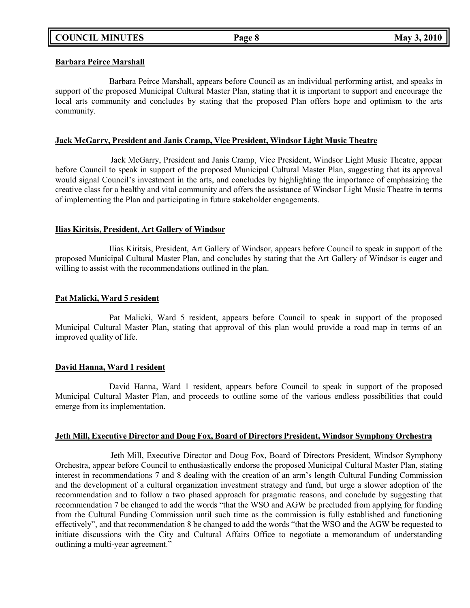#### **Barbara Peirce Marshall**

Barbara Peirce Marshall, appears before Council as an individual performing artist, and speaks in support of the proposed Municipal Cultural Master Plan, stating that it is important to support and encourage the local arts community and concludes by stating that the proposed Plan offers hope and optimism to the arts community.

## **Jack McGarry, President and Janis Cramp, Vice President, Windsor Light Music Theatre**

Jack McGarry, President and Janis Cramp, Vice President, Windsor Light Music Theatre, appear before Council to speak in support of the proposed Municipal Cultural Master Plan, suggesting that its approval would signal Council's investment in the arts, and concludes by highlighting the importance of emphasizing the creative class for a healthy and vital community and offers the assistance of Windsor Light Music Theatre in terms of implementing the Plan and participating in future stakeholder engagements.

#### **Ilias Kiritsis, President, Art Gallery of Windsor**

Ilias Kiritsis, President, Art Gallery of Windsor, appears before Council to speak in support of the proposed Municipal Cultural Master Plan, and concludes by stating that the Art Gallery of Windsor is eager and willing to assist with the recommendations outlined in the plan.

#### **Pat Malicki, Ward 5 resident**

Pat Malicki, Ward 5 resident, appears before Council to speak in support of the proposed Municipal Cultural Master Plan, stating that approval of this plan would provide a road map in terms of an improved quality of life.

## **David Hanna, Ward 1 resident**

David Hanna, Ward 1 resident, appears before Council to speak in support of the proposed Municipal Cultural Master Plan, and proceeds to outline some of the various endless possibilities that could emerge from its implementation.

#### **Jeth Mill, Executive Director and Doug Fox, Board of Directors President, Windsor Symphony Orchestra**

Jeth Mill, Executive Director and Doug Fox, Board of Directors President, Windsor Symphony Orchestra, appear before Council to enthusiastically endorse the proposed Municipal Cultural Master Plan, stating interest in recommendations 7 and 8 dealing with the creation of an arm's length Cultural Funding Commission and the development of a cultural organization investment strategy and fund, but urge a slower adoption of the recommendation and to follow a two phased approach for pragmatic reasons, and conclude by suggesting that recommendation 7 be changed to add the words "that the WSO and AGW be precluded from applying for funding from the Cultural Funding Commission until such time as the commission is fully established and functioning effectively", and that recommendation 8 be changed to add the words "that the WSO and the AGW be requested to initiate discussions with the City and Cultural Affairs Office to negotiate a memorandum of understanding outlining a multi-year agreement."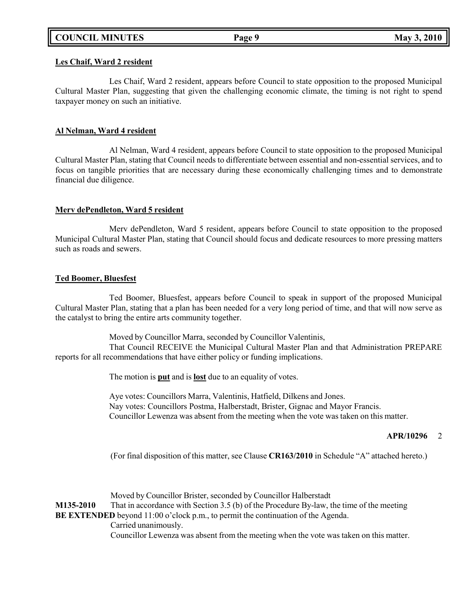# **COUNCIL MINUTES Page 9 May 3, 2010**

#### **Les Chaif, Ward 2 resident**

Les Chaif, Ward 2 resident, appears before Council to state opposition to the proposed Municipal Cultural Master Plan, suggesting that given the challenging economic climate, the timing is not right to spend taxpayer money on such an initiative.

#### **Al Nelman, Ward 4 resident**

Al Nelman, Ward 4 resident, appears before Council to state opposition to the proposed Municipal Cultural Master Plan, stating that Council needs to differentiate between essential and non-essential services, and to focus on tangible priorities that are necessary during these economically challenging times and to demonstrate financial due diligence.

#### **Merv dePendleton, Ward 5 resident**

Merv dePendleton, Ward 5 resident, appears before Council to state opposition to the proposed Municipal Cultural Master Plan, stating that Council should focus and dedicate resources to more pressing matters such as roads and sewers.

#### **Ted Boomer, Bluesfest**

Ted Boomer, Bluesfest, appears before Council to speak in support of the proposed Municipal Cultural Master Plan, stating that a plan has been needed for a very long period of time, and that will now serve as the catalyst to bring the entire arts community together.

Moved by Councillor Marra, seconded by Councillor Valentinis,

That Council RECEIVE the Municipal Cultural Master Plan and that Administration PREPARE reports for all recommendations that have either policy or funding implications.

The motion is **put** and is **lost** due to an equality of votes.

Aye votes: Councillors Marra, Valentinis, Hatfield, Dilkens and Jones. Nay votes: Councillors Postma, Halberstadt, Brister, Gignac and Mayor Francis. Councillor Lewenza was absent from the meeting when the vote was taken on this matter.

#### **APR/10296** 2

(For final disposition of this matter, see Clause **CR163/2010** in Schedule "A" attached hereto.)

Moved by Councillor Brister, seconded by Councillor Halberstadt **M135-2010** That in accordance with Section 3.5 (b) of the Procedure By-law, the time of the meeting **BE EXTENDED** beyond 11:00 o'clock p.m., to permit the continuation of the Agenda. Carried unanimously. Councillor Lewenza was absent from the meeting when the vote was taken on this matter.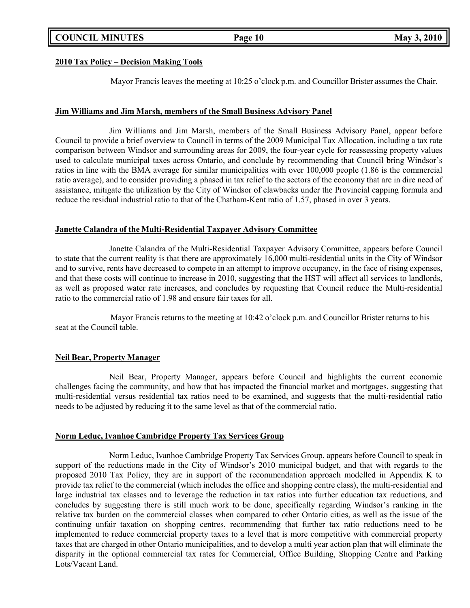## **2010 Tax Policy – Decision Making Tools**

Mayor Francis leaves the meeting at 10:25 o'clock p.m. and Councillor Brister assumes the Chair.

## **Jim Williams and Jim Marsh, members of the Small Business Advisory Panel**

Jim Williams and Jim Marsh, members of the Small Business Advisory Panel, appear before Council to provide a brief overview to Council in terms of the 2009 Municipal Tax Allocation, including a tax rate comparison between Windsor and surrounding areas for 2009, the four-year cycle for reassessing property values used to calculate municipal taxes across Ontario, and conclude by recommending that Council bring Windsor's ratios in line with the BMA average for similar municipalities with over 100,000 people (1.86 is the commercial ratio average), and to consider providing a phased in tax relief to the sectors of the economy that are in dire need of assistance, mitigate the utilization by the City of Windsor of clawbacks under the Provincial capping formula and reduce the residual industrial ratio to that of the Chatham-Kent ratio of 1.57, phased in over 3 years.

## **Janette Calandra of the Multi-Residential Taxpayer Advisory Committee**

Janette Calandra of the Multi-Residential Taxpayer Advisory Committee, appears before Council to state that the current reality is that there are approximately 16,000 multi-residential units in the City of Windsor and to survive, rents have decreased to compete in an attempt to improve occupancy, in the face of rising expenses, and that these costs will continue to increase in 2010, suggesting that the HST will affect all services to landlords, as well as proposed water rate increases, and concludes by requesting that Council reduce the Multi-residential ratio to the commercial ratio of 1.98 and ensure fair taxes for all.

Mayor Francis returns to the meeting at 10:42 o'clock p.m. and Councillor Brister returns to his seat at the Council table.

## **Neil Bear, Property Manager**

Neil Bear, Property Manager, appears before Council and highlights the current economic challenges facing the community, and how that has impacted the financial market and mortgages, suggesting that multi-residential versus residential tax ratios need to be examined, and suggests that the multi-residential ratio needs to be adjusted by reducing it to the same level as that of the commercial ratio.

## **Norm Leduc, Ivanhoe Cambridge Property Tax Services Group**

Norm Leduc, Ivanhoe Cambridge Property Tax Services Group, appears before Council to speak in support of the reductions made in the City of Windsor's 2010 municipal budget, and that with regards to the proposed 2010 Tax Policy, they are in support of the recommendation approach modelled in Appendix K to provide tax relief to the commercial (which includes the office and shopping centre class), the multi-residential and large industrial tax classes and to leverage the reduction in tax ratios into further education tax reductions, and concludes by suggesting there is still much work to be done, specifically regarding Windsor's ranking in the relative tax burden on the commercial classes when compared to other Ontario cities, as well as the issue of the continuing unfair taxation on shopping centres, recommending that further tax ratio reductions need to be implemented to reduce commercial property taxes to a level that is more competitive with commercial property taxes that are charged in other Ontario municipalities, and to develop a multi year action plan that will eliminate the disparity in the optional commercial tax rates for Commercial, Office Building, Shopping Centre and Parking Lots/Vacant Land.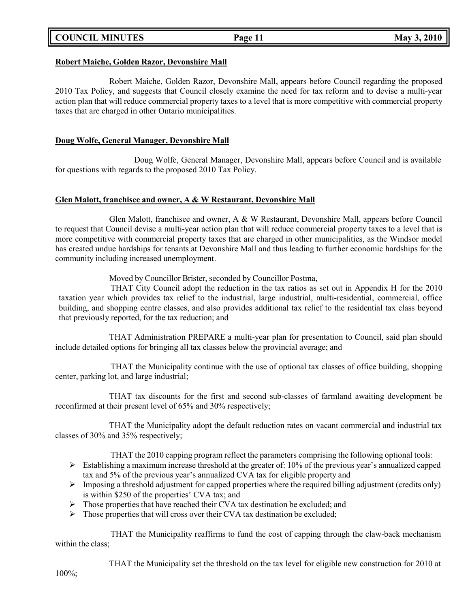# **COUNCIL MINUTES Page 11 May 3, 2010**

## **Robert Maiche, Golden Razor, Devonshire Mall**

Robert Maiche, Golden Razor, Devonshire Mall, appears before Council regarding the proposed 2010 Tax Policy, and suggests that Council closely examine the need for tax reform and to devise a multi-year action plan that will reduce commercial property taxes to a level that is more competitive with commercial property taxes that are charged in other Ontario municipalities.

## **Doug Wolfe, General Manager, Devonshire Mall**

Doug Wolfe, General Manager, Devonshire Mall, appears before Council and is available for questions with regards to the proposed 2010 Tax Policy.

## **Glen Malott, franchisee and owner, A & W Restaurant, Devonshire Mall**

Glen Malott, franchisee and owner, A & W Restaurant, Devonshire Mall, appears before Council to request that Council devise a multi-year action plan that will reduce commercial property taxes to a level that is more competitive with commercial property taxes that are charged in other municipalities, as the Windsor model has created undue hardships for tenants at Devonshire Mall and thus leading to further economic hardships for the community including increased unemployment.

Moved by Councillor Brister, seconded by Councillor Postma,

THAT City Council adopt the reduction in the tax ratios as set out in Appendix H for the 2010 taxation year which provides tax relief to the industrial, large industrial, multi-residential, commercial, office building, and shopping centre classes, and also provides additional tax relief to the residential tax class beyond that previously reported, for the tax reduction; and

THAT Administration PREPARE a multi-year plan for presentation to Council, said plan should include detailed options for bringing all tax classes below the provincial average; and

THAT the Municipality continue with the use of optional tax classes of office building, shopping center, parking lot, and large industrial;

THAT tax discounts for the first and second sub-classes of farmland awaiting development be reconfirmed at their present level of 65% and 30% respectively;

THAT the Municipality adopt the default reduction rates on vacant commercial and industrial tax classes of 30% and 35% respectively;

THAT the 2010 capping program reflect the parameters comprising the following optional tools:

- $\triangleright$  Establishing a maximum increase threshold at the greater of: 10% of the previous year's annualized capped tax and 5% of the previous year's annualized CVA tax for eligible property and
- $\triangleright$  Imposing a threshold adjustment for capped properties where the required billing adjustment (credits only) is within \$250 of the properties' CVA tax; and
- $\triangleright$  Those properties that have reached their CVA tax destination be excluded; and
- $\triangleright$  Those properties that will cross over their CVA tax destination be excluded;

THAT the Municipality reaffirms to fund the cost of capping through the claw-back mechanism within the class;

THAT the Municipality set the threshold on the tax level for eligible new construction for 2010 at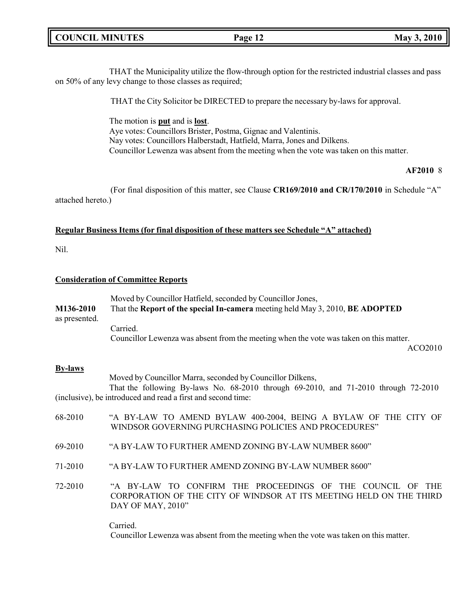# **COUNCIL MINUTES Page 12 May 3, 2010**

THAT the Municipality utilize the flow-through option for the restricted industrial classes and pass on 50% of any levy change to those classes as required;

THAT the City Solicitor be DIRECTED to prepare the necessary by-laws for approval.

The motion is **put** and is **lost**. Aye votes: Councillors Brister, Postma, Gignac and Valentinis. Nay votes: Councillors Halberstadt, Hatfield, Marra, Jones and Dilkens. Councillor Lewenza was absent from the meeting when the vote was taken on this matter.

#### **AF2010** 8

(For final disposition of this matter, see Clause **CR169/2010 and CR/170/2010** in Schedule "A" attached hereto.)

#### **Regular Business Items (for final disposition of these matters see Schedule "A" attached)**

Nil.

#### **Consideration of Committee Reports**

|               | Moved by Councillor Hatfield, seconded by Councillor Jones,                            |  |
|---------------|----------------------------------------------------------------------------------------|--|
| M136-2010     | That the Report of the special In-camera meeting held May 3, 2010, BE ADOPTED          |  |
| as presented. |                                                                                        |  |
|               | Carried.                                                                               |  |
|               | Councillor Lewenza was absent from the meeting when the vote was taken on this matter. |  |

ACO2010

#### **By-laws**

Moved by Councillor Marra, seconded by Councillor Dilkens,

That the following By-laws No. 68-2010 through 69-2010, and 71-2010 through 72-2010 (inclusive), be introduced and read a first and second time:

- 68-2010 "A BY-LAW TO AMEND BYLAW 400-2004, BEING A BYLAW OF THE CITY OF WINDSOR GOVERNING PURCHASING POLICIES AND PROCEDURES"
- 69-2010 "A BY-LAW TO FURTHER AMEND ZONING BY-LAW NUMBER 8600"
- 71-2010 "A BY-LAW TO FURTHER AMEND ZONING BY-LAW NUMBER 8600"
- 72-2010 "A BY-LAW TO CONFIRM THE PROCEEDINGS OF THE COUNCIL OF THE CORPORATION OF THE CITY OF WINDSOR AT ITS MEETING HELD ON THE THIRD DAY OF MAY, 2010"

Carried. Councillor Lewenza was absent from the meeting when the vote was taken on this matter.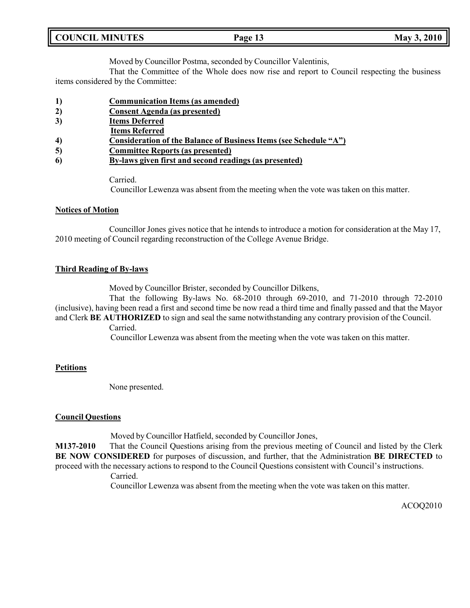Moved by Councillor Postma, seconded by Councillor Valentinis,

That the Committee of the Whole does now rise and report to Council respecting the business items considered by the Committee:

- **1) Communication Items (as amended)**
- **2) Consent Agenda (as presented)**
- **3) Items Deferred**
- **Items Referred**
- **4) Consideration of the Balance of Business Items (see Schedule "A")**
- **5) Committee Reports (as presented)**
- **6) By-laws given first and second readings (as presented)**

Carried.

Councillor Lewenza was absent from the meeting when the vote was taken on this matter.

## **Notices of Motion**

Councillor Jones gives notice that he intends to introduce a motion for consideration at the May 17, 2010 meeting of Council regarding reconstruction of the College Avenue Bridge.

## **Third Reading of By-laws**

Moved by Councillor Brister, seconded by Councillor Dilkens,

That the following By-laws No. 68-2010 through 69-2010, and 71-2010 through 72-2010 (inclusive), having been read a first and second time be now read a third time and finally passed and that the Mayor and Clerk **BE AUTHORIZED** to sign and seal the same notwithstanding any contrary provision of the Council.

Carried.

Councillor Lewenza was absent from the meeting when the vote was taken on this matter.

## **Petitions**

None presented.

## **Council Questions**

Moved by Councillor Hatfield, seconded by Councillor Jones,

**M137-2010** That the Council Questions arising from the previous meeting of Council and listed by the Clerk **BE NOW CONSIDERED** for purposes of discussion, and further, that the Administration **BE DIRECTED** to proceed with the necessary actions to respond to the Council Questions consistent with Council's instructions.

Carried.

Councillor Lewenza was absent from the meeting when the vote was taken on this matter.

ACOQ2010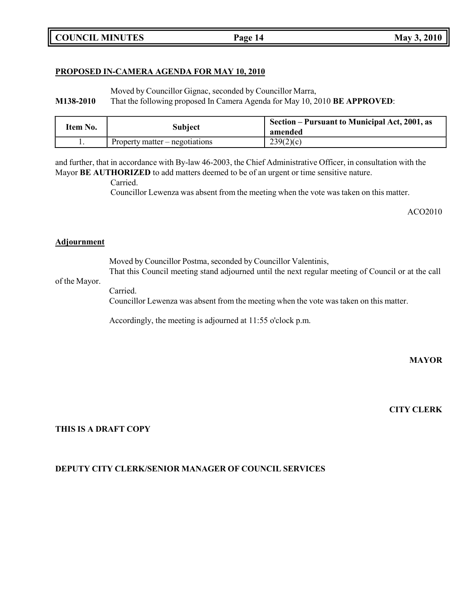# **PROPOSED IN-CAMERA AGENDA FOR MAY 10, 2010**

Moved by Councillor Gignac, seconded by Councillor Marra,

**M138-2010** That the following proposed In Camera Agenda for May 10, 2010 **BE APPROVED**:

| Item No. | <b>Subject</b>                   | Section – Pursuant to Municipal Act, 2001, as<br>amended |
|----------|----------------------------------|----------------------------------------------------------|
| . .      | Property matter $-$ negotiations | 239(2)(c)                                                |

and further, that in accordance with By-law 46-2003, the Chief Administrative Officer, in consultation with the Mayor **BE AUTHORIZED** to add matters deemed to be of an urgent or time sensitive nature.

Carried.

Councillor Lewenza was absent from the meeting when the vote was taken on this matter.

ACO2010

# **Adjournment**

Moved by Councillor Postma, seconded by Councillor Valentinis, That this Council meeting stand adjourned until the next regular meeting of Council or at the call

# of the Mayor.

Carried. Councillor Lewenza was absent from the meeting when the vote was taken on this matter.

Accordingly, the meeting is adjourned at 11:55 o'clock p.m.

**MAYOR**

**CITY CLERK**

# **THIS IS A DRAFT COPY**

# **DEPUTY CITY CLERK/SENIOR MANAGER OF COUNCIL SERVICES**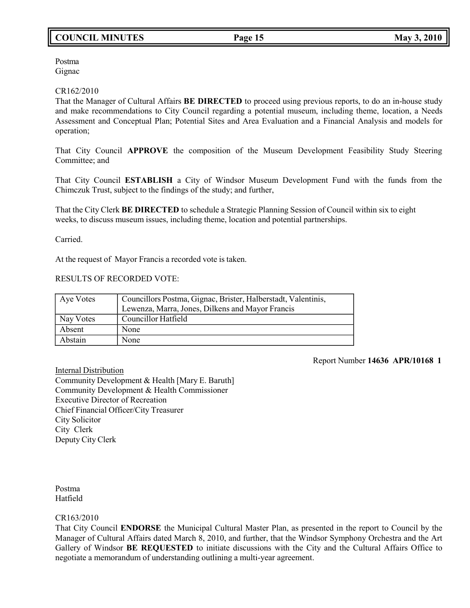# **COUNCIL MINUTES Page 15 May 3, 2010**

Postma Gignac

#### CR162/2010

That the Manager of Cultural Affairs **BE DIRECTED** to proceed using previous reports, to do an in-house study and make recommendations to City Council regarding a potential museum, including theme, location, a Needs Assessment and Conceptual Plan; Potential Sites and Area Evaluation and a Financial Analysis and models for operation;

That City Council **APPROVE** the composition of the Museum Development Feasibility Study Steering Committee; and

That City Council **ESTABLISH** a City of Windsor Museum Development Fund with the funds from the Chimczuk Trust, subject to the findings of the study; and further,

That the City Clerk **BE DIRECTED** to schedule a Strategic Planning Session of Council within six to eight weeks, to discuss museum issues, including theme, location and potential partnerships.

Carried.

At the request of Mayor Francis a recorded vote is taken.

# RESULTS OF RECORDED VOTE:

| Aye Votes | Councillors Postma, Gignac, Brister, Halberstadt, Valentinis,<br>Lewenza, Marra, Jones, Dilkens and Mayor Francis |
|-----------|-------------------------------------------------------------------------------------------------------------------|
| Nay Votes | Councillor Hatfield                                                                                               |
| Absent    | None                                                                                                              |
| Abstain   | None                                                                                                              |

Report Number **14636 APR/10168 1**

Internal Distribution Community Development & Health [Mary E. Baruth] Community Development & Health Commissioner Executive Director of Recreation Chief Financial Officer/City Treasurer City Solicitor City Clerk Deputy City Clerk

Postma Hatfield

## CR163/2010

That City Council **ENDORSE** the Municipal Cultural Master Plan, as presented in the report to Council by the Manager of Cultural Affairs dated March 8, 2010, and further, that the Windsor Symphony Orchestra and the Art Gallery of Windsor **BE REQUESTED** to initiate discussions with the City and the Cultural Affairs Office to negotiate a memorandum of understanding outlining a multi-year agreement.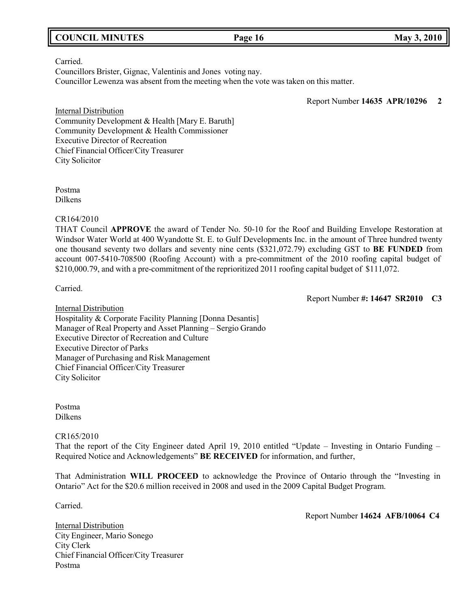# **COUNCIL MINUTES Page 16 May 3, 2010**

#### Carried.

Councillors Brister, Gignac, Valentinis and Jones voting nay. Councillor Lewenza was absent from the meeting when the vote was taken on this matter.

Report Number **14635 APR/10296 2**

Internal Distribution Community Development & Health [Mary E. Baruth] Community Development & Health Commissioner Executive Director of Recreation Chief Financial Officer/City Treasurer City Solicitor

Postma Dilkens

CR164/2010

THAT Council **APPROVE** the award of Tender No. 50-10 for the Roof and Building Envelope Restoration at Windsor Water World at 400 Wyandotte St. E. to Gulf Developments Inc. in the amount of Three hundred twenty one thousand seventy two dollars and seventy nine cents (\$321,072.79) excluding GST to **BE FUNDED** from account 007-5410-708500 (Roofing Account) with a pre-commitment of the 2010 roofing capital budget of \$210,000.79, and with a pre-commitment of the reprioritized 2011 roofing capital budget of \$111,072.

Carried.

Report Number **#: 14647 SR2010 C3**

Internal Distribution Hospitality & Corporate Facility Planning [Donna Desantis] Manager of Real Property and Asset Planning – Sergio Grando Executive Director of Recreation and Culture Executive Director of Parks Manager of Purchasing and Risk Management Chief Financial Officer/City Treasurer City Solicitor

Postma Dilkens

CR165/2010

That the report of the City Engineer dated April 19, 2010 entitled "Update – Investing in Ontario Funding – Required Notice and Acknowledgements" **BE RECEIVED** for information, and further,

That Administration **WILL PROCEED** to acknowledge the Province of Ontario through the "Investing in Ontario" Act for the \$20.6 million received in 2008 and used in the 2009 Capital Budget Program.

Carried.

Report Number **14624 AFB/10064 C4**

Internal Distribution City Engineer, Mario Sonego City Clerk Chief Financial Officer/City Treasurer Postma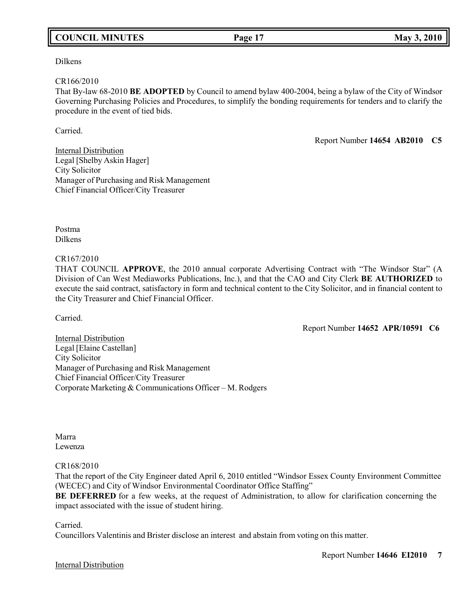# **COUNCIL MINUTES Page 17 May 3, 2010**

Dilkens

#### CR166/2010

That By-law 68-2010 **BE ADOPTED** by Council to amend bylaw 400-2004, being a bylaw of the City of Windsor Governing Purchasing Policies and Procedures, to simplify the bonding requirements for tenders and to clarify the procedure in the event of tied bids.

Carried.

Report Number **14654 AB2010 C5**

Internal Distribution Legal [Shelby Askin Hager] City Solicitor Manager of Purchasing and Risk Management Chief Financial Officer/City Treasurer

Postma Dilkens

#### CR167/2010

THAT COUNCIL **APPROVE**, the 2010 annual corporate Advertising Contract with "The Windsor Star" (A Division of Can West Mediaworks Publications, Inc.), and that the CAO and City Clerk **BE AUTHORIZED** to execute the said contract, satisfactory in form and technical content to the City Solicitor, and in financial content to the City Treasurer and Chief Financial Officer.

Carried.

Report Number **14652 APR/10591 C6**

Internal Distribution Legal [Elaine Castellan] City Solicitor Manager of Purchasing and Risk Management Chief Financial Officer/City Treasurer Corporate Marketing & Communications Officer – M. Rodgers

Marra Lewenza

## CR168/2010

That the report of the City Engineer dated April 6, 2010 entitled "Windsor Essex County Environment Committee (WECEC) and City of Windsor Environmental Coordinator Office Staffing"

**BE DEFERRED** for a few weeks, at the request of Administration, to allow for clarification concerning the impact associated with the issue of student hiring.

Carried.

Councillors Valentinis and Brister disclose an interest and abstain from voting on this matter.

#### Internal Distribution

Report Number **14646 EI2010 7**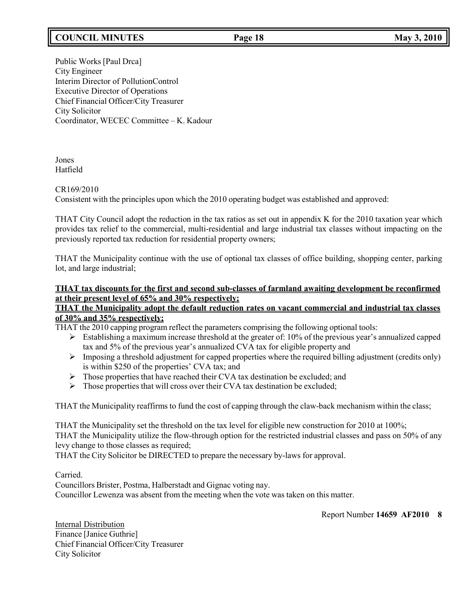# **COUNCIL MINUTES Page 18 May 3, 2010**

Public Works [Paul Drca] City Engineer Interim Director of PollutionControl Executive Director of Operations Chief Financial Officer/City Treasurer City Solicitor Coordinator, WECEC Committee – K. Kadour

Jones Hatfield

## CR169/2010

Consistent with the principles upon which the 2010 operating budget was established and approved:

THAT City Council adopt the reduction in the tax ratios as set out in appendix K for the 2010 taxation year which provides tax relief to the commercial, multi-residential and large industrial tax classes without impacting on the previously reported tax reduction for residential property owners;

THAT the Municipality continue with the use of optional tax classes of office building, shopping center, parking lot, and large industrial;

# **THAT tax discounts for the first and second sub-classes of farmland awaiting development be reconfirmed at their present level of 65% and 30% respectively;**

## **THAT the Municipality adopt the default reduction rates on vacant commercial and industrial tax classes of 30% and 35% respectively;**

THAT the 2010 capping program reflect the parameters comprising the following optional tools:

- $\triangleright$  Establishing a maximum increase threshold at the greater of: 10% of the previous year's annualized capped tax and 5% of the previous year's annualized CVA tax for eligible property and
- $\triangleright$  Imposing a threshold adjustment for capped properties where the required billing adjustment (credits only) is within \$250 of the properties' CVA tax; and
- $\triangleright$  Those properties that have reached their CVA tax destination be excluded; and
- $\triangleright$  Those properties that will cross over their CVA tax destination be excluded;

THAT the Municipality reaffirms to fund the cost of capping through the claw-back mechanism within the class;

THAT the Municipality set the threshold on the tax level for eligible new construction for 2010 at 100%; THAT the Municipality utilize the flow-through option for the restricted industrial classes and pass on 50% of any levy change to those classes as required;

THAT the City Solicitor be DIRECTED to prepare the necessary by-laws for approval.

Carried.

Councillors Brister, Postma, Halberstadt and Gignac voting nay. Councillor Lewenza was absent from the meeting when the vote was taken on this matter.

Report Number **14659 AF2010 8**

Internal Distribution Finance [Janice Guthrie] Chief Financial Officer/City Treasurer City Solicitor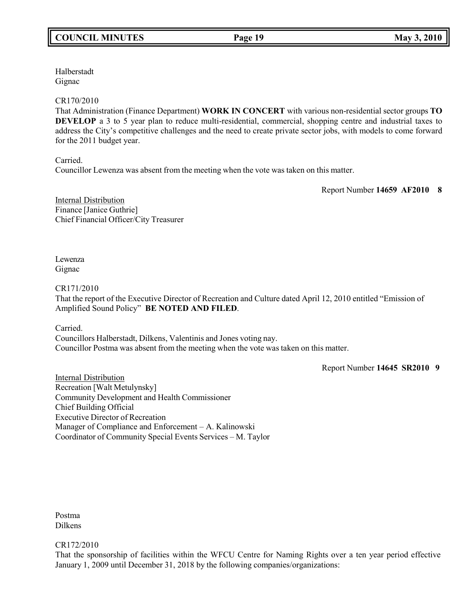Halberstadt Gignac

## CR170/2010

That Administration (Finance Department) **WORK IN CONCERT** with various non-residential sector groups **TO DEVELOP** a 3 to 5 year plan to reduce multi-residential, commercial, shopping centre and industrial taxes to address the City's competitive challenges and the need to create private sector jobs, with models to come forward for the 2011 budget year.

Carried.

Councillor Lewenza was absent from the meeting when the vote was taken on this matter.

Report Number **14659 AF2010 8**

Internal Distribution Finance [Janice Guthrie] Chief Financial Officer/City Treasurer

Lewenza Gignac

CR171/2010

That the report of the Executive Director of Recreation and Culture dated April 12, 2010 entitled "Emission of Amplified Sound Policy" **BE NOTED AND FILED**.

Carried.

Councillors Halberstadt, Dilkens, Valentinis and Jones voting nay. Councillor Postma was absent from the meeting when the vote was taken on this matter.

Report Number **14645 SR2010 9**

Internal Distribution Recreation [Walt Metulynsky] Community Development and Health Commissioner Chief Building Official Executive Director of Recreation Manager of Compliance and Enforcement – A. Kalinowski Coordinator of Community Special Events Services – M. Taylor

Postma Dilkens

CR172/2010

That the sponsorship of facilities within the WFCU Centre for Naming Rights over a ten year period effective January 1, 2009 until December 31, 2018 by the following companies/organizations: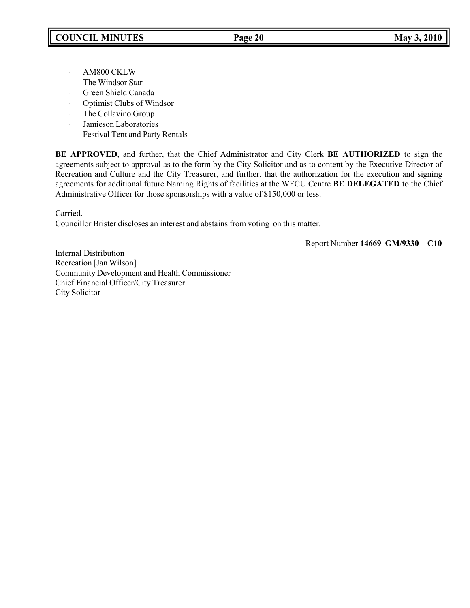- ⋅ AM800 CKLW
- ⋅ The Windsor Star
- ⋅ Green Shield Canada
- ⋅ Optimist Clubs of Windsor
- ⋅ The Collavino Group
- ⋅ Jamieson Laboratories
- ⋅ Festival Tent and Party Rentals

**BE APPROVED**, and further, that the Chief Administrator and City Clerk **BE AUTHORIZED** to sign the agreements subject to approval as to the form by the City Solicitor and as to content by the Executive Director of Recreation and Culture and the City Treasurer, and further, that the authorization for the execution and signing agreements for additional future Naming Rights of facilities at the WFCU Centre **BE DELEGATED** to the Chief Administrative Officer for those sponsorships with a value of \$150,000 or less.

Carried.

Councillor Brister discloses an interest and abstains from voting on this matter.

Report Number **14669 GM/9330 C10**

**Internal Distribution** Recreation [Jan Wilson] Community Development and Health Commissioner Chief Financial Officer/City Treasurer City Solicitor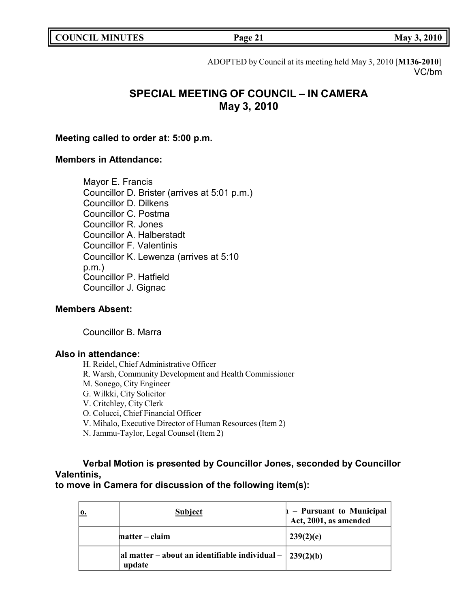ADOPTED by Council at its meeting held May 3, 2010 [**M136-2010**] VC/bm

# **SPECIAL MEETING OF COUNCIL – IN CAMERA May 3, 2010**

# **Meeting called to order at: 5:00 p.m.**

# **Members in Attendance:**

Mayor E. Francis Councillor D. Brister (arrives at 5:01 p.m.) Councillor D. Dilkens Councillor C. Postma Councillor R. Jones Councillor A. Halberstadt Councillor F. Valentinis Councillor K. Lewenza (arrives at 5:10 p.m.) Councillor P. Hatfield Councillor J. Gignac

# **Members Absent:**

Councillor B. Marra

# **Also in attendance:**

H. Reidel, Chief Administrative Officer

- R. Warsh, Community Development and Health Commissioner
- M. Sonego, City Engineer
- G. Wilkki, City Solicitor

V. Critchley, City Clerk

- O. Colucci, Chief Financial Officer
- V. Mihalo, Executive Director of Human Resources (Item 2)
- N. Jammu-Taylor, Legal Counsel (Item 2)

# **Verbal Motion is presented by Councillor Jones, seconded by Councillor Valentinis,**

**to move in Camera for discussion of the following item(s):**

| о. | <b>Subject</b>                                                              | $\vert n -$ Pursuant to Municipal<br>Act, 2001, as amended |
|----|-----------------------------------------------------------------------------|------------------------------------------------------------|
|    | matter – claim                                                              | 239(2)(e)                                                  |
|    | al matter – about an identifiable individual – $\frac{239(2)}{b}$<br>update |                                                            |